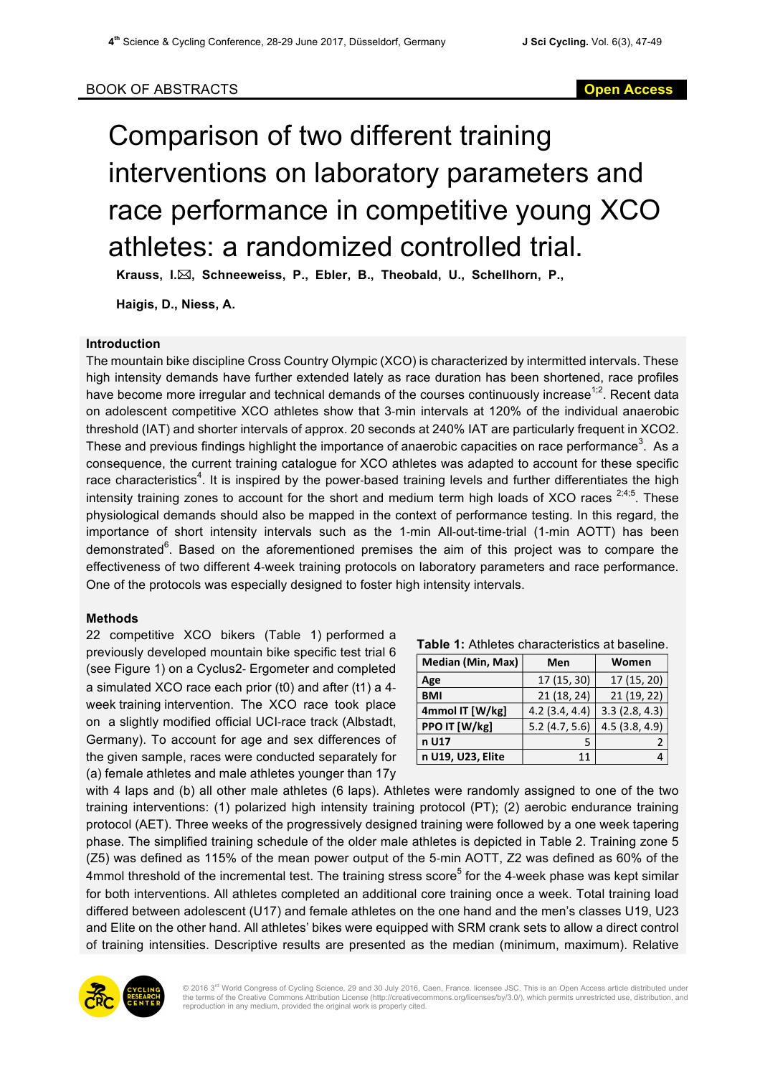# Comparison of two different training interventions on laboratory parameters and race performance in competitive young XCO athletes: a randomized controlled trial.

**Krauss, I.**\***, Schneeweiss, P., Ebler, B., Theobald, U., Schellhorn, P.,** 

**Haigis, D., Niess, A.**

#### **Introduction**

The mountain bike discipline Cross Country Olympic (XCO) is characterized by intermitted intervals. These high intensity demands have further extended lately as race duration has been shortened, race profiles have become more irregular and technical demands of the courses continuously increase<sup>1;2</sup>. Recent data on adolescent competitive XCO athletes show that 3-min intervals at 120% of the individual anaerobic threshold (IAT) and shorter intervals of approx. 20 seconds at 240% IAT are particularly frequent in XCO2. These and previous findings highlight the importance of anaerobic capacities on race performance<sup>3</sup>. As a consequence, the current training catalogue for XCO athletes was adapted to account for these specific race characteristics<sup>4</sup>. It is inspired by the power-based training levels and further differentiates the high intensity training zones to account for the short and medium term high loads of XCO races  $2,4,5$ . These physiological demands should also be mapped in the context of performance testing. In this regard, the importance of short intensity intervals such as the 1-min All-out-time-trial (1-min AOTT) has been demonstrated<sup>6</sup>. Based on the aforementioned premises the aim of this project was to compare the effectiveness of two different 4-week training protocols on laboratory parameters and race performance. One of the protocols was especially designed to foster high intensity intervals.

## **Methods**

22 competitive XCO bikers (Table 1) performed a previously developed mountain bike specific test trial 6 (see Figure 1) on a Cyclus2- Ergometer and completed a simulated XCO race each prior (t0) and after (t1) a 4 week training intervention. The XCO race took place on a slightly modified official UCI-race track (Albstadt, Germany). To account for age and sex differences of the given sample, races were conducted separately for (a) female athletes and male athletes younger than 17y

|  |  |  |  | <b>Table 1:</b> Athletes characteristics at baseline. |  |  |
|--|--|--|--|-------------------------------------------------------|--|--|
|--|--|--|--|-------------------------------------------------------|--|--|

| Median (Min, Max) | Men           | Women         |  |  |
|-------------------|---------------|---------------|--|--|
| Age               | 17 (15, 30)   | 17 (15, 20)   |  |  |
| <b>BMI</b>        | 21 (18, 24)   | 21 (19, 22)   |  |  |
| 4mmol IT [W/kg]   | 4.2(3.4, 4.4) | 3.3(2.8, 4.3) |  |  |
| PPO IT [W/kg]     | 5.2(4.7, 5.6) | 4.5(3.8, 4.9) |  |  |
| n U17             |               |               |  |  |
| n U19, U23, Elite | 11            |               |  |  |

with 4 laps and (b) all other male athletes (6 laps). Athletes were randomly assigned to one of the two training interventions: (1) polarized high intensity training protocol (PT); (2) aerobic endurance training protocol (AET). Three weeks of the progressively designed training were followed by a one week tapering phase. The simplified training schedule of the older male athletes is depicted in Table 2. Training zone 5 (Z5) was defined as 115% of the mean power output of the 5-min AOTT, Z2 was defined as 60% of the 4mmol threshold of the incremental test. The training stress score<sup>5</sup> for the 4-week phase was kept similar for both interventions. All athletes completed an additional core training once a week. Total training load differed between adolescent (U17) and female athletes on the one hand and the men's classes U19, U23 and Elite on the other hand. All athletes' bikes were equipped with SRM crank sets to allow a direct control of training intensities. Descriptive results are presented as the median (minimum, maximum). Relative



© 2016 3<sup>rd</sup> World Congress of Cycling Science, 29 and 30 July 2016, Caen, France. licensee JSC. This is an Open Access article distributed under<br>the terms of the Creative Commons Attribution License (http://creativecommon reproduction in any medium, provided the original work is properly cited.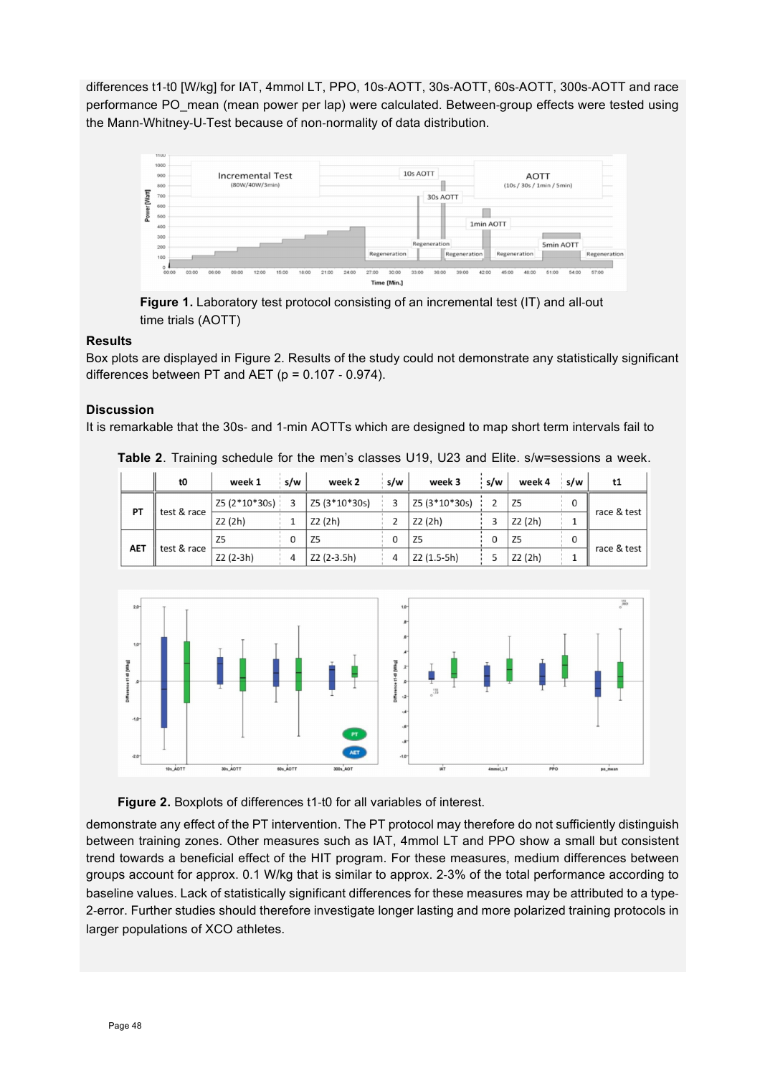differences t1-t0 [W/kg] for IAT, 4mmol LT, PPO, 10s-AOTT, 30s-AOTT, 60s-AOTT, 300s-AOTT and race performance PO\_mean (mean power per lap) were calculated. Between-group effects were tested using the Mann-Whitney-U-Test because of non-normality of data distribution.



**Figure 1.** Laboratory test protocol consisting of an incremental test (IT) and all-out time trials (AOTT)

## **Results**

Box plots are displayed in Figure 2. Results of the study could not demonstrate any statistically significant differences between PT and AET ( $p = 0.107 - 0.974$ ).

### **Discussion**

It is remarkable that the 30s- and 1-min AOTTs which are designed to map short term intervals fail to

**Table 2**. Training schedule for the men's classes U19, U23 and Elite. s/w=sessions a week.

|            | t0          | week 1          | s/w | week 2         | s/w | week 3         | s/w | week 4         | s/w | t1          |
|------------|-------------|-----------------|-----|----------------|-----|----------------|-----|----------------|-----|-------------|
| PT         | test & race | Z5 (2*10*30s) : |     | Z5 (3*10*30s)  |     | Z5 (3*10*30s)  |     | Z5             |     | race & test |
|            |             | Z2 (2h)         |     | Z2 (2h)        |     | Z2 (2h)        |     | Z2 (2h)        |     |             |
| <b>AET</b> | test & race | Z <sub>5</sub>  |     | Z <sub>5</sub> |     | Z <sub>5</sub> |     | Z <sub>5</sub> |     | race & test |
|            |             | Z2 (2-3h)       | 4   | Z2 (2-3.5h)    |     | Z2 (1.5-5h)    |     | Z2 (2h)        |     |             |



**Figure 2.** Boxplots of differences t1-t0 for all variables of interest.

demonstrate any effect of the PT intervention. The PT protocol may therefore do not sufficiently distinguish between training zones. Other measures such as IAT, 4mmol LT and PPO show a small but consistent trend towards a beneficial effect of the HIT program. For these measures, medium differences between groups account for approx. 0.1 W/kg that is similar to approx. 2-3% of the total performance according to baseline values. Lack of statistically significant differences for these measures may be attributed to a type-2-error. Further studies should therefore investigate longer lasting and more polarized training protocols in larger populations of XCO athletes.